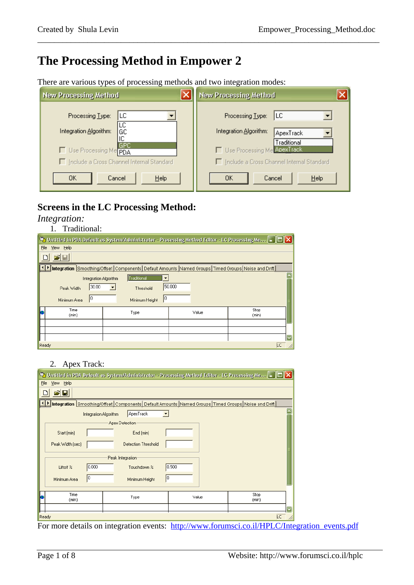# **The Processing Method in Empower 2**

There are various types of processing methods and two integration modes:

| <b>New Processing Method</b>                                                                   | <b>New Processing Method</b>                                                                                          |
|------------------------------------------------------------------------------------------------|-----------------------------------------------------------------------------------------------------------------------|
| LС<br>Processing Type:<br>LС<br>Integration Algorithm:<br>GC<br> GPC <br>Use Processing Me PDA | <b>ILC</b><br>Processing Type:<br>Integration Algorithm:<br>ApexTrack<br>Traditional<br>□ Use Processing Me ApexTrack |
| Include a Cross Channel Internal Standard                                                      | $\Box$ Include a Cross Channel Internal Standard                                                                      |
| He<br>OΚ<br>Cancel                                                                             | Help<br>Cancel<br>OΚ                                                                                                  |

\_\_\_\_\_\_\_\_\_\_\_\_\_\_\_\_\_\_\_\_\_\_\_\_\_\_\_\_\_\_\_\_\_\_\_\_\_\_\_\_\_\_\_\_\_\_\_\_\_\_\_\_\_\_\_\_\_\_\_\_\_\_\_\_\_\_\_\_\_\_\_\_\_\_\_\_\_\_\_\_\_\_

# **Screens in the LC Processing Method:**

*Integration:* 

| Traditional: |
|--------------|
|              |

|                       | <b>V</b> b Untitled in PDA Default as System/Administrator - Processing Method Editor - LC Processing Me $\blacksquare\blacksquare$ |        |               |
|-----------------------|-------------------------------------------------------------------------------------------------------------------------------------|--------|---------------|
| Eile<br>View Help     |                                                                                                                                     |        |               |
| $\mathbf{z}$ di       |                                                                                                                                     |        |               |
|                       | Integration Smoothing/Offset Components Default Amounts Named Groups Timed Groups Noise and Drift                                   |        |               |
| Integration Algorithm | Traditional                                                                                                                         |        |               |
| 30.00<br>Peak Width   | Threshold                                                                                                                           | 50.000 |               |
| Minimum Area          | 10<br>Minimum Height                                                                                                                |        |               |
| Time<br>(min)         | Type                                                                                                                                | Value  | Stop<br>(min) |
|                       |                                                                                                                                     |        |               |
|                       |                                                                                                                                     |        |               |
|                       |                                                                                                                                     |        |               |
| Ready                 |                                                                                                                                     |        | LC.           |

### 2. Apex Track:

|             |                                                                                                   |                       |                     |                         |       | <b>Solution</b> Unitled in PDA Default as System/Administrator - Processing Method Editor - LC Processing Me $\blacksquare = \square$ |  |  |  |  |
|-------------|---------------------------------------------------------------------------------------------------|-----------------------|---------------------|-------------------------|-------|---------------------------------------------------------------------------------------------------------------------------------------|--|--|--|--|
| <b>File</b> | View Help                                                                                         |                       |                     |                         |       |                                                                                                                                       |  |  |  |  |
|             | П                                                                                                 |                       |                     |                         |       |                                                                                                                                       |  |  |  |  |
|             | Integration Smoothing/Offset Components Default Amounts Named Groups Timed Groups Noise and Drift |                       |                     |                         |       |                                                                                                                                       |  |  |  |  |
|             |                                                                                                   | Integration Algorithm | ApexTrack           | $\overline{\mathbf{v}}$ |       |                                                                                                                                       |  |  |  |  |
|             |                                                                                                   |                       | Apex Detection      |                         |       |                                                                                                                                       |  |  |  |  |
|             | Start (min)                                                                                       |                       | End (min)           |                         |       |                                                                                                                                       |  |  |  |  |
|             | Peak Width (sec)                                                                                  |                       | Detection Threshold |                         |       |                                                                                                                                       |  |  |  |  |
|             |                                                                                                   |                       | Peak Integration    |                         |       |                                                                                                                                       |  |  |  |  |
|             | Liftoff %                                                                                         | 0.000                 | Touchdown %         |                         | 0.500 |                                                                                                                                       |  |  |  |  |
|             | 10<br>Minimum Area                                                                                |                       | Minimum Height      | 10                      |       |                                                                                                                                       |  |  |  |  |
|             |                                                                                                   |                       |                     |                         |       |                                                                                                                                       |  |  |  |  |
|             | Time<br>(min)                                                                                     |                       | Type                |                         | Value | Stop<br>(min)                                                                                                                         |  |  |  |  |
|             |                                                                                                   |                       |                     |                         |       |                                                                                                                                       |  |  |  |  |
|             | Ready                                                                                             |                       |                     |                         |       | <b>LC</b>                                                                                                                             |  |  |  |  |

For more details on integration events: http://www.forumsci.co.il/HPLC/Integration\_events.pdf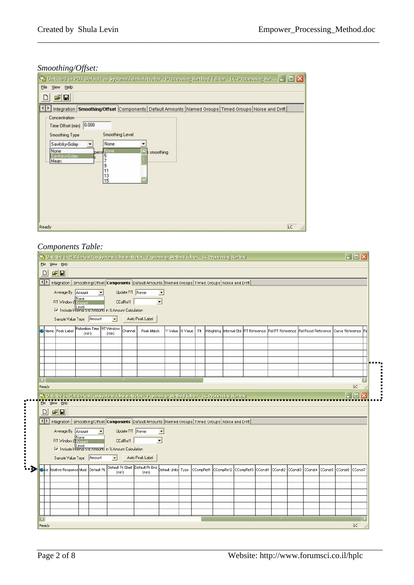# *Smoothing/Offset:*

|                                                                                                                                                     | Ca Unitiled in PDA Default as System/Administrator - Processing Method Editor - LC Processing Me -             |
|-----------------------------------------------------------------------------------------------------------------------------------------------------|----------------------------------------------------------------------------------------------------------------|
| View Help<br>Ele                                                                                                                                    |                                                                                                                |
| $\mathbf{B}$                                                                                                                                        |                                                                                                                |
| Concentration<br>0.000<br>Time Offset (min)<br>Smoothing Level<br>Smoothing Type<br>None.<br>Savitsky-Golay<br>None<br>pers, None<br>Savitsky-Golav | Integration Smoothing/Offset Components Default Amounts Named Groups Timed Groups Noise and Drift<br>smoothing |
| Mean<br>9<br>13<br>15                                                                                                                               |                                                                                                                |
|                                                                                                                                                     |                                                                                                                |
| Ready                                                                                                                                               | LC                                                                                                             |

\_\_\_\_\_\_\_\_\_\_\_\_\_\_\_\_\_\_\_\_\_\_\_\_\_\_\_\_\_\_\_\_\_\_\_\_\_\_\_\_\_\_\_\_\_\_\_\_\_\_\_\_\_\_\_\_\_\_\_\_\_\_\_\_\_\_\_\_\_\_\_\_\_\_\_\_\_\_\_\_\_\_

## *Components Table:*

|        | $ \mathbf{E} \mathbf{E} $<br>$\Box$                 |                             |                                                                                             |                     |                 |                                                                                                               |                       |         |     |  |                                                                                                         |                                      |  |                 |           |
|--------|-----------------------------------------------------|-----------------------------|---------------------------------------------------------------------------------------------|---------------------|-----------------|---------------------------------------------------------------------------------------------------------------|-----------------------|---------|-----|--|---------------------------------------------------------------------------------------------------------|--------------------------------------|--|-----------------|-----------|
| ⊣l⊵    |                                                     |                             |                                                                                             |                     |                 | Integration   Smoothing/Offset   Components   Default Amounts   Named Groups   Timed Groups   Noise and Drift |                       |         |     |  |                                                                                                         |                                      |  |                 |           |
|        |                                                     | Average By Amount           | $\overline{\phantom{a}}$                                                                    |                     | Update RT Never | $\blacksquare$                                                                                                |                       |         |     |  |                                                                                                         |                                      |  |                 |           |
|        |                                                     | None<br>RT Window (4 Amoun) |                                                                                             |                     | CCalRef1        | $\overline{\phantom{a}}$                                                                                      |                       |         |     |  |                                                                                                         |                                      |  |                 |           |
|        |                                                     |                             | Eevel Level <b>Example 1</b><br><b>Example internal Std Amounts in % Amount Calculation</b> |                     |                 |                                                                                                               |                       |         |     |  |                                                                                                         |                                      |  |                 |           |
|        |                                                     | Sample Value Type Amount    |                                                                                             | $\vert \cdot \vert$ |                 | Auto Peak Label                                                                                               |                       |         |     |  |                                                                                                         |                                      |  |                 |           |
|        |                                                     |                             |                                                                                             |                     |                 |                                                                                                               |                       |         |     |  |                                                                                                         |                                      |  |                 |           |
|        | Name Peak Label                                     |                             | Retention Time RT Window<br>(min)                                                           | (min)               | Channel         | Peak Match                                                                                                    | Y Value               | X Value | Fit |  | Weighting  Internal Std  RT Reference                                                                   | Rel RT Reference Rel Resol Reference |  | Curve Reference |           |
|        |                                                     |                             |                                                                                             |                     |                 |                                                                                                               |                       |         |     |  |                                                                                                         |                                      |  |                 |           |
|        |                                                     |                             |                                                                                             |                     |                 |                                                                                                               |                       |         |     |  |                                                                                                         |                                      |  |                 |           |
|        |                                                     |                             |                                                                                             |                     |                 |                                                                                                               |                       |         |     |  |                                                                                                         |                                      |  |                 |           |
|        |                                                     |                             |                                                                                             |                     |                 |                                                                                                               |                       |         |     |  |                                                                                                         |                                      |  |                 |           |
|        |                                                     |                             |                                                                                             |                     |                 |                                                                                                               |                       |         |     |  |                                                                                                         |                                      |  |                 |           |
|        |                                                     |                             |                                                                                             |                     |                 |                                                                                                               |                       |         |     |  |                                                                                                         |                                      |  |                 |           |
|        |                                                     |                             |                                                                                             |                     |                 |                                                                                                               |                       |         |     |  |                                                                                                         |                                      |  |                 |           |
|        |                                                     |                             |                                                                                             |                     |                 |                                                                                                               |                       |         |     |  |                                                                                                         |                                      |  |                 |           |
| Ready  |                                                     |                             |                                                                                             |                     |                 |                                                                                                               |                       |         |     |  |                                                                                                         |                                      |  |                 | <b>LC</b> |
|        |                                                     |                             |                                                                                             |                     |                 | Untitled in PDA Default as System/Administrator - Processing Method Editor - LC Processing Method             |                       |         |     |  |                                                                                                         |                                      |  |                 | Ιx<br>Iш  |
|        | File View Help                                      |                             |                                                                                             |                     |                 |                                                                                                               |                       |         |     |  |                                                                                                         |                                      |  |                 |           |
| $\Box$ | $ \mathcal{B} \mathbf{E} $                          |                             |                                                                                             |                     |                 |                                                                                                               |                       |         |     |  |                                                                                                         |                                      |  |                 |           |
| н∣≱    |                                                     |                             |                                                                                             |                     |                 | Integration   Smoothing/Offset Components   Default Amounts   Named Groups   Timed Groups   Noise and Drift   |                       |         |     |  |                                                                                                         |                                      |  |                 |           |
|        |                                                     |                             |                                                                                             |                     |                 |                                                                                                               |                       |         |     |  |                                                                                                         |                                      |  |                 |           |
|        |                                                     | Average By Amount<br>None   | $\overline{\phantom{a}}$                                                                    |                     | Update RT Never | $\blacksquare$                                                                                                |                       |         |     |  |                                                                                                         |                                      |  |                 |           |
|        |                                                     | RT Window (4Amoun           |                                                                                             |                     | CCalRef1        | $\vert \textbf{v} \vert$                                                                                      |                       |         |     |  |                                                                                                         |                                      |  |                 |           |
|        |                                                     |                             | Eevel<br>Thin Include Internal Statements in % Amount Calculation                           |                     |                 |                                                                                                               |                       |         |     |  |                                                                                                         |                                      |  |                 |           |
|        |                                                     | Sample Value Type Amount    |                                                                                             | $\mathbf{r}$        |                 | Auto Peak Label                                                                                               |                       |         |     |  |                                                                                                         |                                      |  |                 |           |
|        | <mark>o</mark> ce ≹elative Response∭Must Default Pk |                             |                                                                                             |                     |                 | Default Pk Start Default Pk End                                                                               | þefault Units  Type i |         |     |  | CCompRef1   CCompRef2   CCompRef3   CConst1   CConst2   CConst3   CConst4   CConst5   CConst7   CConst7 |                                      |  |                 |           |
|        |                                                     |                             |                                                                                             | (min)               |                 | (min)                                                                                                         |                       |         |     |  |                                                                                                         |                                      |  |                 |           |
|        |                                                     |                             |                                                                                             |                     |                 |                                                                                                               |                       |         |     |  |                                                                                                         |                                      |  |                 |           |
|        |                                                     |                             |                                                                                             |                     |                 |                                                                                                               |                       |         |     |  |                                                                                                         |                                      |  |                 |           |
|        |                                                     |                             |                                                                                             |                     |                 |                                                                                                               |                       |         |     |  |                                                                                                         |                                      |  |                 |           |
|        |                                                     |                             |                                                                                             |                     |                 |                                                                                                               |                       |         |     |  |                                                                                                         |                                      |  |                 |           |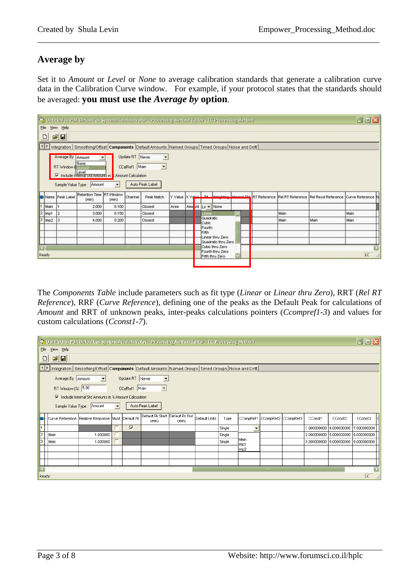# **Average by**

Set it to *Amount* or *Level* or *None* to average calibration standards that generate a calibration curve data in the Calibration Curve window. For example, if your protocol states that the standards should be averaged: **you must use the** *Average by* **option**.

\_\_\_\_\_\_\_\_\_\_\_\_\_\_\_\_\_\_\_\_\_\_\_\_\_\_\_\_\_\_\_\_\_\_\_\_\_\_\_\_\_\_\_\_\_\_\_\_\_\_\_\_\_\_\_\_\_\_\_\_\_\_\_\_\_\_\_\_\_\_\_\_\_\_\_\_\_\_\_\_\_\_

|                        |          |                                                     |                                                                                                              |                          |                                  | Ca Untitled in PDA Default as System/Administrator - Processing Method Editor - LC Processing Method |                    |                                 |                    |                                                                                                   |   |      |                                                                   | $\Box$ D $\times$ |
|------------------------|----------|-----------------------------------------------------|--------------------------------------------------------------------------------------------------------------|--------------------------|----------------------------------|------------------------------------------------------------------------------------------------------|--------------------|---------------------------------|--------------------|---------------------------------------------------------------------------------------------------|---|------|-------------------------------------------------------------------|-------------------|
|                        |          | File View Help                                      |                                                                                                              |                          |                                  |                                                                                                      |                    |                                 |                    |                                                                                                   |   |      |                                                                   |                   |
|                        | $\Box$   | $\mathbf{B}$                                        |                                                                                                              |                          |                                  |                                                                                                      |                    |                                 |                    |                                                                                                   |   |      |                                                                   |                   |
| $\left  \cdot \right $ |          |                                                     |                                                                                                              |                          |                                  | Integration Smoothing/Offset Components Default Amounts Named Groups Timed Groups Noise and Drift    |                    |                                 |                    |                                                                                                   |   |      |                                                                   |                   |
|                        |          | Average By Amount<br><b>RT</b> Window <b>A</b> None | Include Internal Statemounts in & Amount Calculation<br>Sample Value Type Amount<br>Retention Time RT Window | $\overline{\phantom{a}}$ | Update RT Never<br>CCalRef1 Main | $\overline{ }$<br>$\sim$<br>Auto Peak Label                                                          |                    |                                 |                    |                                                                                                   |   |      |                                                                   |                   |
|                        |          | Name Peak Label                                     | (min)                                                                                                        | (min)                    | Channel                          | Peak Match                                                                                           | Y Value X Value Et |                                 |                    | <b><i><u>MANAHANA</u> Internat CAA</i></b>                                                        |   |      | RT Reference Rel RT Reference Rel Resol Reference Curve Reference |                   |
|                        | Main     |                                                     | 2.000                                                                                                        | 0.100                    |                                  | Closest                                                                                              | Area               | Ame <mark>unt Lir + None</mark> |                    |                                                                                                   |   |      |                                                                   |                   |
|                        | $2$ Imp1 | 12                                                  | 3.000                                                                                                        | 0.150                    |                                  | Closest                                                                                              |                    |                                 | <b>IFW</b>         |                                                                                                   | n | Main |                                                                   | Main              |
| 3                      | Imp2     | 13                                                  | 4.000                                                                                                        | 0.200                    |                                  | Closest                                                                                              |                    |                                 | Quadratic<br>Cubic |                                                                                                   |   | Main | Main                                                              | Main              |
|                        | Ready    |                                                     |                                                                                                              |                          |                                  |                                                                                                      |                    |                                 | Fourth<br>Fifth    | Linear thru Zero<br>Quadratic thru Zero<br>Cubic thru Zero<br>Fourth thru Zero<br>Fifth thru Zero |   |      |                                                                   | Ð<br>LC.          |

The *Components Table* include parameters such as fit type (*Linear* or *Linear thru Zero*), RRT (*Rel RT Reference*), RRF (*Curve Reference*), defining one of the peaks as the Default Peak for calculations of *Amount* and RRT of unknown peaks, inter-peaks calculations pointers (*Ccompref1-3*) and values for custom calculations (*Cconst1-7*).

|                         | $\Box$ o $\times$<br>Untitled in PDA Default as System/Administrator - Processing Method Editor - LC Processing Method |                                                                                 |                      |                         |                                          |       |               |        |               |                     |                                     |                         |         |
|-------------------------|------------------------------------------------------------------------------------------------------------------------|---------------------------------------------------------------------------------|----------------------|-------------------------|------------------------------------------|-------|---------------|--------|---------------|---------------------|-------------------------------------|-------------------------|---------|
|                         | File View Help                                                                                                         |                                                                                 |                      |                         |                                          |       |               |        |               |                     |                                     |                         |         |
|                         | $\mathbf{E}[\mathbf{E}]$<br>$\boxed{D}$                                                                                |                                                                                 |                      |                         |                                          |       |               |        |               |                     |                                     |                         |         |
|                         | Integration   Smoothing/Offset   Components   Default Amounts   Named Groups   Timed Groups   Noise and Drift          |                                                                                 |                      |                         |                                          |       |               |        |               |                     |                                     |                         |         |
|                         | Average By Amount                                                                                                      | $\blacksquare$                                                                  |                      | Update RT Never         | $\blacktriangledown$                     |       |               |        |               |                     |                                     |                         |         |
|                         | RT Window (%) 5.00                                                                                                     |                                                                                 |                      | CCalRef1 Main           | $\blacktriangledown$                     |       |               |        |               |                     |                                     |                         |         |
|                         |                                                                                                                        | $\overline{\triangledown}$ Include Internal Std Amounts in % Amount Calculation |                      |                         |                                          |       |               |        |               |                     |                                     |                         |         |
|                         |                                                                                                                        | Sample Value Type Amount                                                        | $\blacktriangledown$ |                         | Auto Peak Label                          |       |               |        |               |                     |                                     |                         |         |
| IS.                     |                                                                                                                        | Curve Reference Relative Response Must Default Pk                               |                      |                         | Default Pk Start Default Pk End<br>(min) | (min) | Default Units | Type   | CCompRef1     | CCompRef2 CCompRef3 | CConst1                             | CConst2                 | CConst3 |
|                         |                                                                                                                        |                                                                                 |                      | $\overline{\mathbf{v}}$ |                                          |       |               | Single |               |                     | 1.000000000                         | 4.000000000 7.000000000 |         |
| $\overline{2}$          | Main                                                                                                                   | 1.000000                                                                        |                      |                         |                                          |       |               | Single |               |                     | 2.000000000 5.000000000 8.000000000 |                         |         |
| $\overline{\mathbf{3}}$ | Main                                                                                                                   | 1.000000                                                                        |                      |                         |                                          |       |               | Single | İMain<br>Imp1 |                     | 3.000000000 6.000000000 9.000000000 |                         |         |
|                         |                                                                                                                        |                                                                                 |                      |                         |                                          |       |               |        | Imp2          |                     |                                     |                         |         |
|                         |                                                                                                                        |                                                                                 |                      |                         |                                          |       |               |        |               |                     |                                     |                         |         |
|                         |                                                                                                                        |                                                                                 |                      |                         |                                          |       |               |        |               |                     |                                     |                         |         |
|                         |                                                                                                                        |                                                                                 |                      |                         |                                          |       |               |        |               |                     |                                     |                         |         |
| Ready                   |                                                                                                                        |                                                                                 |                      |                         |                                          |       |               |        |               |                     |                                     |                         | LC.     |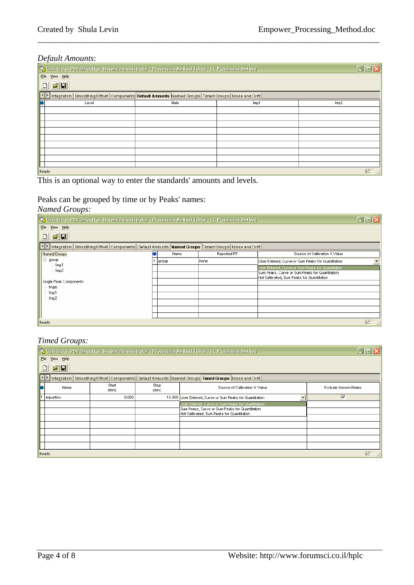#### *Default Amounts*:

| $\cdot$                                                                                                                       | Untitled in PDA Default as System/Administrator - Processing Method Editor - LC Processing Method |      |      |  |  |  |  |  |  |
|-------------------------------------------------------------------------------------------------------------------------------|---------------------------------------------------------------------------------------------------|------|------|--|--|--|--|--|--|
| Eile View Help                                                                                                                |                                                                                                   |      |      |  |  |  |  |  |  |
| $\mathbf{E}[\mathbf{E}]$<br>$\Box$                                                                                            |                                                                                                   |      |      |  |  |  |  |  |  |
| $\mathbf{P}$<br>Integration   Smoothing/Offset   Components   Default Amounts   Named Groups   Timed Groups   Noise and Drift |                                                                                                   |      |      |  |  |  |  |  |  |
| ß<br>Level                                                                                                                    | Main                                                                                              | Imp1 | Imp2 |  |  |  |  |  |  |
|                                                                                                                               |                                                                                                   |      |      |  |  |  |  |  |  |
|                                                                                                                               |                                                                                                   |      |      |  |  |  |  |  |  |
|                                                                                                                               |                                                                                                   |      |      |  |  |  |  |  |  |
|                                                                                                                               |                                                                                                   |      |      |  |  |  |  |  |  |
|                                                                                                                               |                                                                                                   |      |      |  |  |  |  |  |  |
|                                                                                                                               |                                                                                                   |      |      |  |  |  |  |  |  |
|                                                                                                                               |                                                                                                   |      |      |  |  |  |  |  |  |
|                                                                                                                               |                                                                                                   |      |      |  |  |  |  |  |  |
|                                                                                                                               |                                                                                                   |      |      |  |  |  |  |  |  |
| Ready                                                                                                                         |                                                                                                   |      | LC   |  |  |  |  |  |  |

\_\_\_\_\_\_\_\_\_\_\_\_\_\_\_\_\_\_\_\_\_\_\_\_\_\_\_\_\_\_\_\_\_\_\_\_\_\_\_\_\_\_\_\_\_\_\_\_\_\_\_\_\_\_\_\_\_\_\_\_\_\_\_\_\_\_\_\_\_\_\_\_\_\_\_\_\_\_\_\_\_\_

This is an optional way to enter the standards' amounts and levels.

# Peaks can be grouped by time or by Peaks' names:

#### *Named Groups:*

| Untitled in PDA Default as System/Administrator - Processing Method Editor - LC Processing Method             |  |       |             |                                                                                              |     |  |  |
|---------------------------------------------------------------------------------------------------------------|--|-------|-------------|----------------------------------------------------------------------------------------------|-----|--|--|
| File<br>View Help                                                                                             |  |       |             |                                                                                              |     |  |  |
| $\mathbf{E}[\mathbf{E}]$<br>$\Box$                                                                            |  |       |             |                                                                                              |     |  |  |
| Integration   Smoothing/Offset   Components   Default Amounts   Named Groups   Timed Groups   Noise and Drift |  |       |             |                                                                                              |     |  |  |
| Named Groups                                                                                                  |  | Name  | Reported RT | Source of Calibration X Value                                                                |     |  |  |
| B<br>group                                                                                                    |  | group | None        | User Entered, Curve or Sum Peaks for Quantitation                                            |     |  |  |
| · Imp1<br>- Imp2                                                                                              |  |       |             | User Entered, Curve or Sum Peaks for Quantitation                                            |     |  |  |
|                                                                                                               |  |       |             | Sum Peaks, Curve or Sum Peaks for Quantitation<br>Not Calibrated, Sum Peaks for Quantitation |     |  |  |
| Single Peak Components                                                                                        |  |       |             |                                                                                              |     |  |  |
| Main                                                                                                          |  |       |             |                                                                                              |     |  |  |
| Imp1                                                                                                          |  |       |             |                                                                                              |     |  |  |
| Imp2                                                                                                          |  |       |             |                                                                                              |     |  |  |
|                                                                                                               |  |       |             |                                                                                              |     |  |  |
|                                                                                                               |  |       |             |                                                                                              |     |  |  |
| Ready                                                                                                         |  |       |             |                                                                                              | LC. |  |  |

### *Timed Groups:*

|   | Untitled in PDA Default as System/Administrator - Processing Method Editor - LC Processing Method |                |               |                                                                                                                                                     |                     |  |  |  |  |
|---|---------------------------------------------------------------------------------------------------|----------------|---------------|-----------------------------------------------------------------------------------------------------------------------------------------------------|---------------------|--|--|--|--|
|   | View Help<br>File                                                                                 |                |               |                                                                                                                                                     |                     |  |  |  |  |
|   | $\mathbf{E}[\mathbf{E}]$                                                                          |                |               |                                                                                                                                                     |                     |  |  |  |  |
|   |                                                                                                   |                |               | Integration   Smoothing/Offset   Components   Default Amounts   Named Groups   Timed Groups   Noise and Drift                                       |                     |  |  |  |  |
| þ | Name                                                                                              | Start<br>(min) | Stop<br>(min) | Source of Calibration X Value                                                                                                                       | Exclude Known Peaks |  |  |  |  |
|   | impurities                                                                                        | 0.000          |               | 15.000 User Entered, Curve or Sum Peaks for Quantitation<br>$\overline{\phantom{a}}$                                                                | ╔                   |  |  |  |  |
|   |                                                                                                   |                |               | User Entered, Curve or Sum Peaks for Quantitation.<br>Sum Peaks, Curve or Sum Peaks for Quantitation<br>Not Calibrated, Sum Peaks for Quantitation. |                     |  |  |  |  |
|   |                                                                                                   |                |               |                                                                                                                                                     |                     |  |  |  |  |
|   |                                                                                                   |                |               |                                                                                                                                                     |                     |  |  |  |  |
|   |                                                                                                   |                |               |                                                                                                                                                     |                     |  |  |  |  |
|   | Ready                                                                                             |                |               |                                                                                                                                                     | LC                  |  |  |  |  |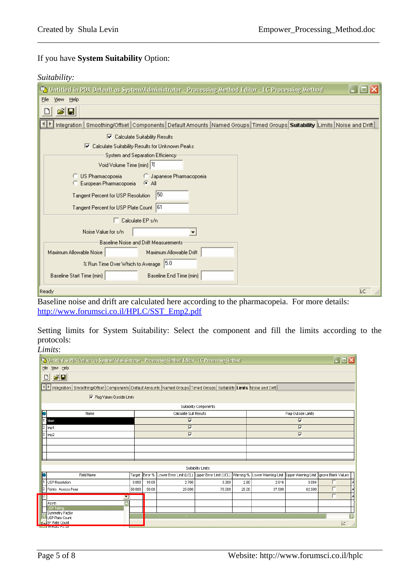# If you have **System Suitability** Option:

#### *Suitability:*

| Untitled in PDA Default as System/Administrator - Processing Method Editor - LC Processing Method                       |
|-------------------------------------------------------------------------------------------------------------------------|
| View Help<br>Eile                                                                                                       |
| E<br>$\blacksquare$                                                                                                     |
| Smoothing/Offset Components Default Amounts Named Groups Timed Groups Suitability Limits Noise and Drift<br>Integration |
| $\boxed{\blacktriangledown}$ Calculate Suitability Results                                                              |
| Calculate Suitability Results for Unknown Peaks<br>▿                                                                    |
| System and Separation Efficiency:                                                                                       |
| Void Volume Time (min) 1                                                                                                |
| C US Pharmacopoeia<br><b>C</b> Japanese Pharmacopoeia<br>$ G $ All<br>C European Pharmacopoeia                          |
| 50<br>Tangent Percent for USP Resolution                                                                                |
| Tangent Percent for USP Plate Count 61                                                                                  |
| $\Box$ Calculate EP s/n.                                                                                                |
| Noise Value for s/n                                                                                                     |
| Baseline Noise and Drift Measurements                                                                                   |
| Maximum Allowable Noise<br>Maximum Allowable Drift                                                                      |
| % Run Time Over Which to Average 5.0                                                                                    |
| Baseline Start Time (min)<br>Baseline End Time (min)                                                                    |
| Ready<br><b>LC</b>                                                                                                      |

\_\_\_\_\_\_\_\_\_\_\_\_\_\_\_\_\_\_\_\_\_\_\_\_\_\_\_\_\_\_\_\_\_\_\_\_\_\_\_\_\_\_\_\_\_\_\_\_\_\_\_\_\_\_\_\_\_\_\_\_\_\_\_\_\_\_\_\_\_\_\_\_\_\_\_\_\_\_\_\_\_\_

Baseline noise and drift are calculated here according to the pharmacopeia. For more details: http://www.forumsci.co.il/HPLC/SST\_Emp2.pdf

Setting limits for System Suitability: Select the component and fill the limits according to the protocols:

*Limits*:

| Untitled in PDA Default as System/Administrator - Processing Method Editor - LC Processing Method                                    |                          |         |                         |                                                                                                                           |                 |                         |        |   |    |  |  |
|--------------------------------------------------------------------------------------------------------------------------------------|--------------------------|---------|-------------------------|---------------------------------------------------------------------------------------------------------------------------|-----------------|-------------------------|--------|---|----|--|--|
| View Help<br><b>Eile</b>                                                                                                             |                          |         |                         |                                                                                                                           |                 |                         |        |   |    |  |  |
| $\mathbf{E}[\mathbf{E}]$<br>ہ∟                                                                                                       |                          |         |                         |                                                                                                                           |                 |                         |        |   |    |  |  |
| Integration   Smoothing/Offset   Components   Default Amounts   Named Groups   Timed Groups   Suitability   Limits   Noise and Drift |                          |         |                         |                                                                                                                           |                 |                         |        |   |    |  |  |
| $\overline{\nabla}$ Flag Values Outside Limits                                                                                       |                          |         |                         |                                                                                                                           |                 |                         |        |   |    |  |  |
| Suitability Components                                                                                                               |                          |         |                         |                                                                                                                           |                 |                         |        |   |    |  |  |
| Flag Outside Limits<br>Calculate Suit Results<br>Name                                                                                |                          |         |                         |                                                                                                                           |                 |                         |        |   |    |  |  |
| $\overline{\mathbf{v}}$<br>╔<br>Main                                                                                                 |                          |         |                         |                                                                                                                           |                 |                         |        |   |    |  |  |
| $\overline{\mathbf{v}}$<br>$\overline{V}$<br>Imp1                                                                                    |                          |         |                         |                                                                                                                           |                 |                         |        |   |    |  |  |
| 3   Imp2                                                                                                                             |                          |         | $\overline{\mathbf{v}}$ |                                                                                                                           |                 | $\overline{\mathbf{v}}$ |        |   |    |  |  |
|                                                                                                                                      |                          |         |                         |                                                                                                                           |                 |                         |        |   |    |  |  |
|                                                                                                                                      |                          |         |                         |                                                                                                                           |                 |                         |        |   |    |  |  |
|                                                                                                                                      |                          |         |                         |                                                                                                                           |                 |                         |        |   |    |  |  |
|                                                                                                                                      |                          |         |                         | Suitability Limits                                                                                                        |                 |                         |        |   |    |  |  |
| Field Name                                                                                                                           | Target                   | Error % |                         | Lower Error Limit (LCL) Upper Error Limit (UCL) Warning % Lower Warning Limit   Upper Warning Limit   Ignore Blank Values |                 |                         |        |   |    |  |  |
| USP Resolution                                                                                                                       | 3.000                    | 10.00   | 2.700                   | 3.300                                                                                                                     | 2.80            | 2.916                   | 3.084  |   |    |  |  |
| 2 Points Across Peak                                                                                                                 | 50.000                   | 50.00   | 25.000                  | 75.000                                                                                                                    | 25.00<br>37.500 |                         | 62,500 |   |    |  |  |
| $\overline{\phantom{a}}$                                                                                                             |                          |         |                         |                                                                                                                           |                 |                         |        | п |    |  |  |
| Asym                                                                                                                                 |                          |         |                         |                                                                                                                           |                 |                         |        |   |    |  |  |
| USP Tailing                                                                                                                          |                          |         |                         |                                                                                                                           |                 |                         |        |   |    |  |  |
| Symmetry Factor<br>USP Plate Count                                                                                                   |                          |         |                         |                                                                                                                           |                 |                         |        |   |    |  |  |
| ReaEP Plate Count<br><b>Example 10 Diate Count</b>                                                                                   | $\overline{\phantom{a}}$ |         |                         |                                                                                                                           |                 |                         |        |   | LC |  |  |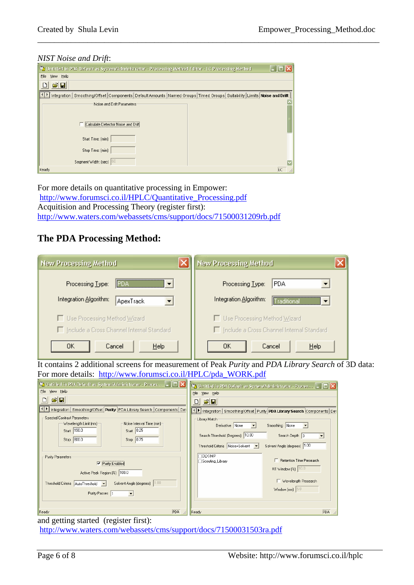#### *NIST Noise and Drift*:

| Untitled in PDA Default as System/Administrator - Processing Method Editor - LC Processing Method                                     |    |
|---------------------------------------------------------------------------------------------------------------------------------------|----|
| View Help<br>File                                                                                                                     |    |
| cie                                                                                                                                   |    |
| Integration<br>Smoothing/Offset   Components   Default Amounts   Named Groups   Timed Groups   Suitability   Limits   Noise and Drift |    |
| Noise and Drift Parameters                                                                                                            |    |
| Calculate Detector Noise and [                                                                                                        |    |
| Start Time: (min)                                                                                                                     |    |
| Stop Time: (min)                                                                                                                      |    |
| Segment Width: [sec] [60]                                                                                                             |    |
| Ready                                                                                                                                 | LC |

\_\_\_\_\_\_\_\_\_\_\_\_\_\_\_\_\_\_\_\_\_\_\_\_\_\_\_\_\_\_\_\_\_\_\_\_\_\_\_\_\_\_\_\_\_\_\_\_\_\_\_\_\_\_\_\_\_\_\_\_\_\_\_\_\_\_\_\_\_\_\_\_\_\_\_\_\_\_\_\_\_\_

For more details on quantitative processing in Empower: http://www.forumsci.co.il/HPLC/Quantitative\_Processing.pdf Acquitision and Processing Theory (register first): http://www.waters.com/webassets/cms/support/docs/71500031209rb.pdf

# **The PDA Processing Method:**

| <b>New Processing Method</b>                          | <b>New Processing Method</b>                                      |  |  |  |  |  |  |
|-------------------------------------------------------|-------------------------------------------------------------------|--|--|--|--|--|--|
| Processing Type:<br>  PDA<br>$\overline{\phantom{a}}$ | <b>PDA</b><br>Processing Type:                                    |  |  |  |  |  |  |
| Integration Algorithm:<br>ApexTrack                   | Integration Algorithm:<br>Traditional<br>$\overline{\phantom{a}}$ |  |  |  |  |  |  |
| □ Use Processing Method Wizard                        | Use Processing Method Wizard                                      |  |  |  |  |  |  |
| Include a Cross Channel Internal Standard             | Include a Cross Channel Internal Standard                         |  |  |  |  |  |  |
| OΚ<br>Help<br>Cancel                                  | OΚ<br>Cancel<br>Help                                              |  |  |  |  |  |  |

It contains 2 additional screens for measurement of Peak *Purity* and *PDA Library Search* of 3D data: For more details: http://www.forumsci.co.il/HPLC/pda\_WORK.pdf

| <b>Let</b> Untitled in PDA Default as System/Administrator - Proces $\begin{bmatrix} - \end{bmatrix} \square \begin{bmatrix} \times \end{bmatrix}$  | Untitled in PDA Default as System/Administrator - Proces $\begin{bmatrix} - &   & \end{bmatrix}$                 |
|-----------------------------------------------------------------------------------------------------------------------------------------------------|------------------------------------------------------------------------------------------------------------------|
| File View Help                                                                                                                                      | File View Help                                                                                                   |
| $\mathcal{L}[\mathbf{E}]$<br>D                                                                                                                      | $ \vec{r} $<br>$\Box$                                                                                            |
| Integration   Smoothing/Offset   Purity   PDA Library Search   Components   Det                                                                     | Integration   Smoothing/Offset   Purity   PDA Library Search   Components   Det                                  |
| Spectral Contrast Parameters                                                                                                                        | Library Match                                                                                                    |
| Wavelength Limit [nm]-<br>Noise Interval Time [min]                                                                                                 | Smoothing None<br>Derivative None<br>$\overline{\phantom{a}}$<br>$\overline{\phantom{a}}$                        |
| Start 190.0<br>Start 0.25<br>Stop 800.0<br>Stop 0.75                                                                                                | Search Threshold (Degrees) 10.00<br>Search Depth 3<br>$\vert \cdot \vert$                                        |
|                                                                                                                                                     | Solvent Angle (degrees) 1.00<br>Threshold Criteria Noise+Solvent v                                               |
| Purity Parameters:<br>$\nabla$ Purity Enabled<br>Active Peak Region [%] 100.0<br>Solvent Angle (degrees) 1.00<br>Threshold Criteria AutoThreshold v | <b>OLX-IMP</b><br>□ Retention Time Presearch<br>Scouting_Library<br>RT Window (%)   10.0<br>Wavelength Presearch |
| Purity Passes 1<br>$\overline{\phantom{a}}$                                                                                                         | Window [nm] $5.0$                                                                                                |
| PDA<br>Ready                                                                                                                                        | PDA<br>Ready                                                                                                     |

#### and getting started (register first):

http://www.waters.com/webassets/cms/support/docs/71500031503ra.pdf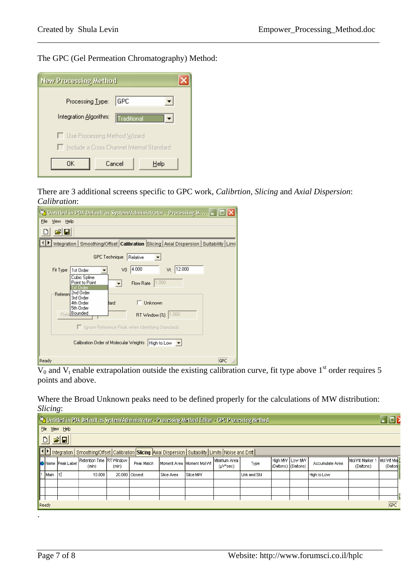The GPC (Gel Permeation Chromatography) Method:

| <b>New Processing Method</b>                                                  |  |  |  |  |  |  |  |  |  |
|-------------------------------------------------------------------------------|--|--|--|--|--|--|--|--|--|
| Processing Type:<br>GPC                                                       |  |  |  |  |  |  |  |  |  |
| Integration Algorithm:<br>l Traditional                                       |  |  |  |  |  |  |  |  |  |
| □ Use Processing Method Wizard<br>□ Include a Cross Channel Internal Standard |  |  |  |  |  |  |  |  |  |
| Cancel<br>OΚ<br>Help                                                          |  |  |  |  |  |  |  |  |  |

There are 3 additional screens specific to GPC work, *Calibrtion*, *Slicing* and *Axial Dispersion*: *Calibration*:

\_\_\_\_\_\_\_\_\_\_\_\_\_\_\_\_\_\_\_\_\_\_\_\_\_\_\_\_\_\_\_\_\_\_\_\_\_\_\_\_\_\_\_\_\_\_\_\_\_\_\_\_\_\_\_\_\_\_\_\_\_\_\_\_\_\_\_\_\_\_\_\_\_\_\_\_\_\_\_\_\_\_

| Untitled in PDA Default as System/Administrator - Processing M                                 |  |  |  |  |  |  |  |  |  |  |  |
|------------------------------------------------------------------------------------------------|--|--|--|--|--|--|--|--|--|--|--|
| Eile<br>View<br>Help                                                                           |  |  |  |  |  |  |  |  |  |  |  |
| اتحت<br>O                                                                                      |  |  |  |  |  |  |  |  |  |  |  |
| Integration   Smoothing/Offset   Calibration   Slicing   Axial Dispersion   Suitability   Limi |  |  |  |  |  |  |  |  |  |  |  |
| GPC Technique<br>Relative                                                                      |  |  |  |  |  |  |  |  |  |  |  |
| 12.000<br>4.000<br>V <sub>0</sub><br>Fit Type<br>1st Order<br>٧t                               |  |  |  |  |  |  |  |  |  |  |  |
| Cubic Spline<br>1.000<br>Point to Point<br>Flow Rate<br>1st Order                              |  |  |  |  |  |  |  |  |  |  |  |
| 2nd Order<br>Referen<br>3rd Order<br>Unknown<br>4th Order<br>llard<br>5th Order                |  |  |  |  |  |  |  |  |  |  |  |
| Rete Bounded<br>1.000<br>RT Window (%)                                                         |  |  |  |  |  |  |  |  |  |  |  |
| □ Ignore Reference Peak when Identifying Standards                                             |  |  |  |  |  |  |  |  |  |  |  |
| Calibration Order of Molecular Weights<br>High to Low $\ \mathbf{v}\ $                         |  |  |  |  |  |  |  |  |  |  |  |
| GPC<br>Ready                                                                                   |  |  |  |  |  |  |  |  |  |  |  |

 $V_0$  and  $V_t$  enable extrapolation outside the existing calibration curve, fit type above 1<sup>st</sup> order requires 5 points and above.

Where the Broad Unknown peaks need to be defined properly for the calculations of MW distribution: *Slicing*:

| $\Box$ DI<br>Untitled in PDA Default as System/Administrator - Processing Method Editor - GPC Processing Method    |                 |                                   |       |                |            |                            |                            |             |                                           |  |                 |                               |                         |
|--------------------------------------------------------------------------------------------------------------------|-----------------|-----------------------------------|-------|----------------|------------|----------------------------|----------------------------|-------------|-------------------------------------------|--|-----------------|-------------------------------|-------------------------|
| File View Help                                                                                                     |                 |                                   |       |                |            |                            |                            |             |                                           |  |                 |                               |                         |
| $\mathbf{E}[\mathbf{E}]$<br>$\Box$                                                                                 |                 |                                   |       |                |            |                            |                            |             |                                           |  |                 |                               |                         |
| Integration   Smoothing/Offset   Calibration   Slicing   Axial Dispersion   Suitability   Limits   Noise and Drift |                 |                                   |       |                |            |                            |                            |             |                                           |  |                 |                               |                         |
|                                                                                                                    | Name Peak Label | Retention Time RT Window<br>(min) | (min) | Peak Match     |            | Moment Area Moment Mol Vvt | Minimum Area<br>$(µV*sec)$ | Type        | High M/V   Low M/V<br>(Daltons) (Daltons) |  | Accumulate Area | Mol Vvt Marker 1<br>(Daltons) | Mol Vvt Mail<br>(Dalton |
| 1 Main                                                                                                             | l 1 î           | 10,000                            |       | 20,000 Closest | Slice Area | Slice MW                   |                            | Unk and Std |                                           |  | High to Low     |                               |                         |
|                                                                                                                    |                 |                                   |       |                |            |                            |                            |             |                                           |  |                 |                               |                         |
|                                                                                                                    |                 |                                   |       |                |            |                            |                            |             |                                           |  |                 |                               |                         |
| GPC<br>Ready                                                                                                       |                 |                                   |       |                |            |                            |                            |             |                                           |  |                 |                               |                         |
|                                                                                                                    |                 |                                   |       |                |            |                            |                            |             |                                           |  |                 |                               |                         |